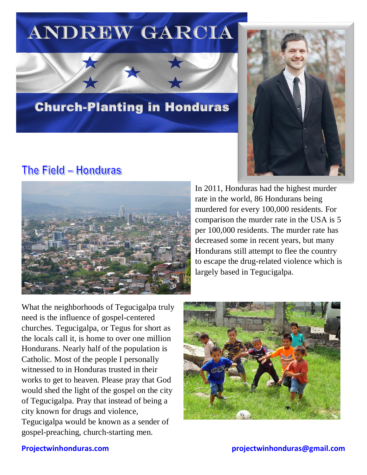# Andrew Garcia



# Church-Planting in Honduras

# The Field - Honduras



In 2011, Honduras had the highest murder rate in the world, 86 Hondurans being murdered for every 100,000 residents. For comparison the murder rate in the USA is 5 per 100,000 residents. The murder rate has decreased some in recent years, but many Hondurans still attempt to flee the country to escape the drug-related violence which is largely based in Tegucigalpa.

What the neighborhoods of Tegucigalpa truly need is the influence of gospel-centered churches. Tegucigalpa, or Tegus for short as the locals call it, is home to over one million Hondurans. Nearly half of the population is Catholic. Most of the people I personally witnessed to in Honduras trusted in their works to get to heaven. Please pray that God would shed the light of the gospel on the city of Tegucigalpa. Pray that instead of being a city known for drugs and violence, Tegucigalpa would be known as a sender of gospel-preaching, church-starting men.

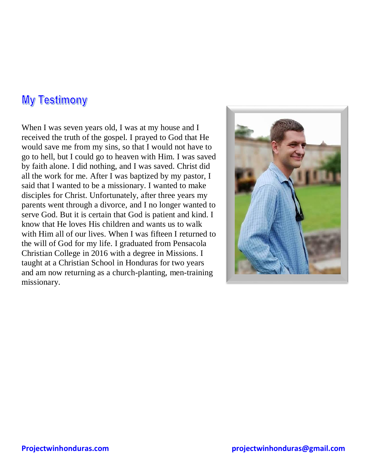#### My Testimony

When I was seven years old, I was at my house and I received the truth of the gospel. I prayed to God that He would save me from my sins, so that I would not have to go to hell, but I could go to heaven with Him. I was saved by faith alone. I did nothing, and I was saved. Christ did all the work for me. After I was baptized by my pastor, I said that I wanted to be a missionary. I wanted to make disciples for Christ. Unfortunately, after three years my parents went through a divorce, and I no longer wanted to serve God. But it is certain that God is patient and kind. I know that He loves His children and wants us to walk with Him all of our lives. When I was fifteen I returned to the will of God for my life. I graduated from Pensacola Christian College in 2016 with a degree in Missions. I taught at a Christian School in Honduras for two years and am now returning as a church-planting, men-training missionary.

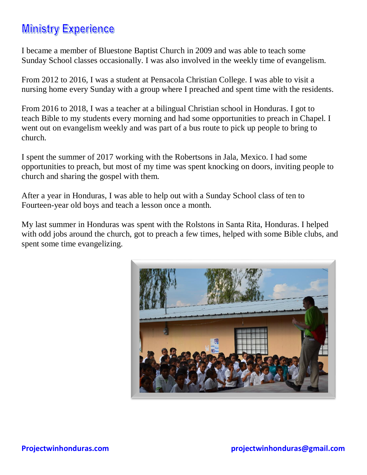# **Ministry Experience**

I became a member of Bluestone Baptist Church in 2009 and was able to teach some Sunday School classes occasionally. I was also involved in the weekly time of evangelism.

From 2012 to 2016, I was a student at Pensacola Christian College. I was able to visit a nursing home every Sunday with a group where I preached and spent time with the residents.

From 2016 to 2018, I was a teacher at a bilingual Christian school in Honduras. I got to teach Bible to my students every morning and had some opportunities to preach in Chapel. I went out on evangelism weekly and was part of a bus route to pick up people to bring to church.

I spent the summer of 2017 working with the Robertsons in Jala, Mexico. I had some opportunities to preach, but most of my time was spent knocking on doors, inviting people to church and sharing the gospel with them.

After a year in Honduras, I was able to help out with a Sunday School class of ten to Fourteen-year old boys and teach a lesson once a month.

My last summer in Honduras was spent with the Rolstons in Santa Rita, Honduras. I helped with odd jobs around the church, got to preach a few times, helped with some Bible clubs, and spent some time evangelizing.

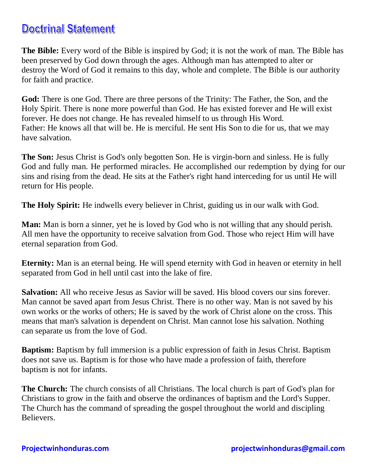### Doctrinal Statement

**The Bible:** Every word of the Bible is inspired by God; it is not the work of man. The Bible has been preserved by God down through the ages. Although man has attempted to alter or destroy the Word of God it remains to this day, whole and complete. The Bible is our authority for faith and practice.

**God:** There is one God. There are three persons of the Trinity: The Father, the Son, and the Holy Spirit. There is none more powerful than God. He has existed forever and He will exist forever. He does not change. He has revealed himself to us through His Word. Father: He knows all that will be. He is merciful. He sent His Son to die for us, that we may have salvation.

**The Son:** Jesus Christ is God's only begotten Son. He is virgin-born and sinless. He is fully God and fully man. He performed miracles. He accomplished our redemption by dying for our sins and rising from the dead. He sits at the Father's right hand interceding for us until He will return for His people.

**The Holy Spirit:** He indwells every believer in Christ, guiding us in our walk with God.

**Man:** Man is born a sinner, yet he is loved by God who is not willing that any should perish. All men have the opportunity to receive salvation from God. Those who reject Him will have eternal separation from God.

**Eternity:** Man is an eternal being. He will spend eternity with God in heaven or eternity in hell separated from God in hell until cast into the lake of fire.

**Salvation:** All who receive Jesus as Savior will be saved. His blood covers our sins forever. Man cannot be saved apart from Jesus Christ. There is no other way. Man is not saved by his own works or the works of others; He is saved by the work of Christ alone on the cross. This means that man's salvation is dependent on Christ. Man cannot lose his salvation. Nothing can separate us from the love of God.

**Baptism:** Baptism by full immersion is a public expression of faith in Jesus Christ. Baptism does not save us. Baptism is for those who have made a profession of faith, therefore baptism is not for infants.

**The Church:** The church consists of all Christians. The local church is part of God's plan for Christians to grow in the faith and observe the ordinances of baptism and the Lord's Supper. The Church has the command of spreading the gospel throughout the world and discipling Believers.